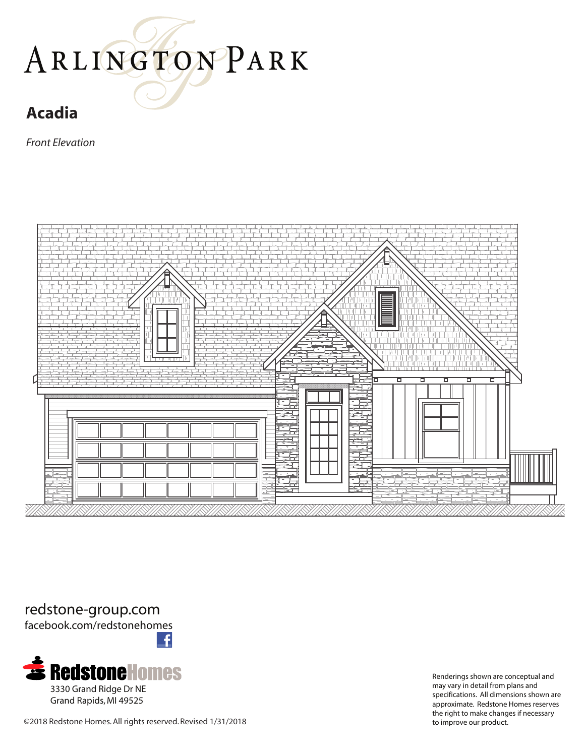## ARLINGTONPARK

## **Acadia**

*Front Elevation*



redstone-group.com facebook.com/redstonehomes

£ **3330 Grand Ridge Dr NE** 

Grand Rapids, MI 49525

Renderings shown are conceptual and may vary in detail from plans and specifications. All dimensions shown are approximate. Redstone Homes reserves the right to make changes if necessary

©2018 Redstone Homes. All rights reserved. Revised 1/31/2018 to improve our product.